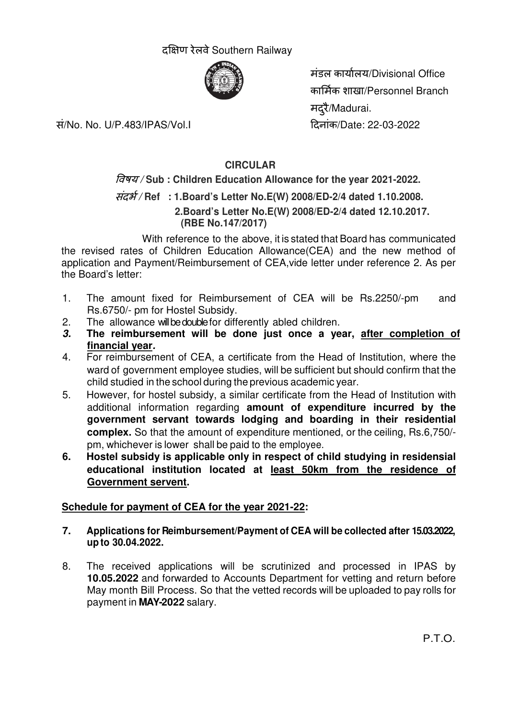# दक्षिण रेलवे Southern Railway



सं/No. No. U/P.483/IPAS/Vol.I दनांक/Date: 22-03-2022

मंडल कायालय/Divisional Office कामक शाखा/Personnel Branch मदरै/Madurai.

# **CIRCULAR**

# वषय / **Sub : Children Education Allowance for the year 2021-2022.**

# संदभ / **Ref : 1.Board's Letter No.E(W) 2008/ED-2/4 dated 1.10.2008.**

 **2.Board's Letter No.E(W) 2008/ED-2/4 dated 12.10.2017. (RBE No.147/2017)**

 With reference to the above, it is stated that Board has communicated the revised rates of Children Education Allowance(CEA) and the new method of application and Payment/Reimbursement of CEA,vide letter under reference 2. As per the Board's letter:

- 1. The amount fixed for Reimbursement of CEA will be Rs.2250/-pm and Rs.6750/- pm for Hostel Subsidy.
- 2. The allowance will be double for differently abled children.
- **3. The reimbursement will be done just once a year, after completion of financial year.**
- 4. For reimbursement of CEA, a certificate from the Head of Institution, where the ward of government employee studies, will be sufficient but should confirm that the child studied in the school during the previous academic year.
- 5. However, for hostel subsidy, a similar certificate from the Head of Institution with additional information regarding **amount of expenditure incurred by the government servant towards lodging and boarding in their residential complex.** So that the amount of expenditure mentioned, or the ceiling, Rs.6,750/ pm, whichever is lower shall be paid to the employee.
- **6. Hostel subsidy is applicable only in respect of child studying in residensial educational institution located at least 50km from the residence of Government servent.**

## **Schedule for payment of CEA for the year 2021-22:**

- **7. Applications for Reimbursement/Payment of CEA will be collected after 15.03.2022, up to 30.04.2022.**
- 8. The received applications will be scrutinized and processed in IPAS by **10.05.2022** and forwarded to Accounts Department for vetting and return before May month Bill Process. So that the vetted records will be uploaded to pay rolls for payment in **MAY-2022** salary.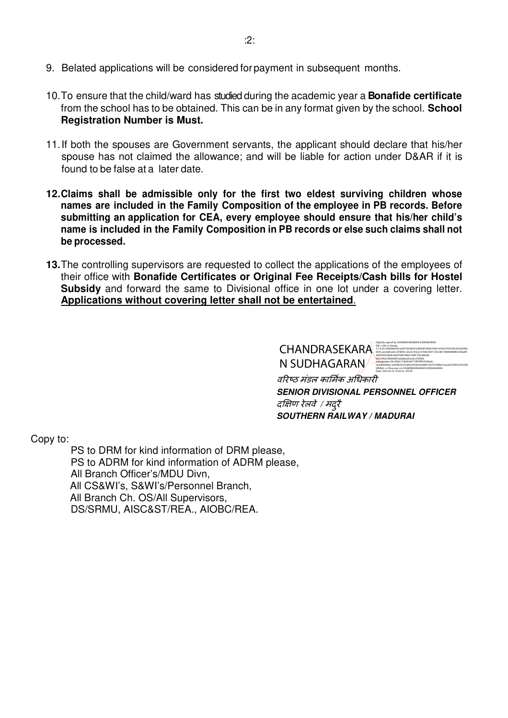- 9. Belated applications will be considered for payment in subsequent months.
- 10. To ensure that the child/ward has studied during the academic year a **Bonafide certificate** from the school has to be obtained. This can be in any format given by the school. **School Registration Number is Must.**
- 11. If both the spouses are Government servants, the applicant should declare that his/her spouse has not claimed the allowance; and will be liable for action under D&AR if it is found to be false at a later date.
- **12. Claims shall be admissible only for the first two eldest surviving children whose names are included in the Family Composition of the employee in PB records. Before submitting an application for CEA, every employee should ensure that his/her child's name is included in the Family Composition in PB records or else such claims shall not be processed.**
- **13.** The controlling supervisors are requested to collect the applications of the employees of their office with **Bonafide Certificates or Original Fee Receipts/Cash bills for Hostel Subsidy** and forward the same to Divisional office in one lot under a covering letter. **Applications without covering letter shall not be entertained**.

| CHANDRASEKARA | Digitally signed by CHANDRASEKARAN SUDHAGARAN<br>DN: c=IN. st=Kerala.<br>2.5.4.20=b089db442ca60f1360d0d72af96d918d0e349e1934d3740393b30cb03d8e<br>9543, postalCode=678009, street=B 622 D RAILWAY COLONY HEMAMBIKA NAGAR<br>AKATHETHARA AKATHETHARA PART PALAKKAD |
|---------------|-------------------------------------------------------------------------------------------------------------------------------------------------------------------------------------------------------------------------------------------------------------------|
| N SUDHAGARAN  | KALLEKULANGARA.Palakkad.Kerala-678009.<br>pseudonym=Sbc9b9e110b6Sdef179f53f9533dbe6c.<br>serialNumber=b909825032d42a4302be9c86fe106270348bc7eae2d27fd5c67fc03f6<br>bffd00c, o=Personal, cn=CHANDRASEKARAN SUDHAGARAN<br>Date: 2022 03:22 16:20:22 +05'30'         |

वरिष्ठ मंडल कार्मिक अधिकारी **SENIOR DIVISIONAL PERSONNEL OFFICER**  दक्षिण रेलवे *|* मदुरै **SOUTHERN RAILWAY / MADURAI** 

Copy to:

 PS to DRM for kind information of DRM please, PS to ADRM for kind information of ADRM please, All Branch Officer's/MDU Divn, All CS&WI's, S&WI's/Personnel Branch, All Branch Ch. OS/All Supervisors, DS/SRMU, AISC&ST/REA., AIOBC/REA.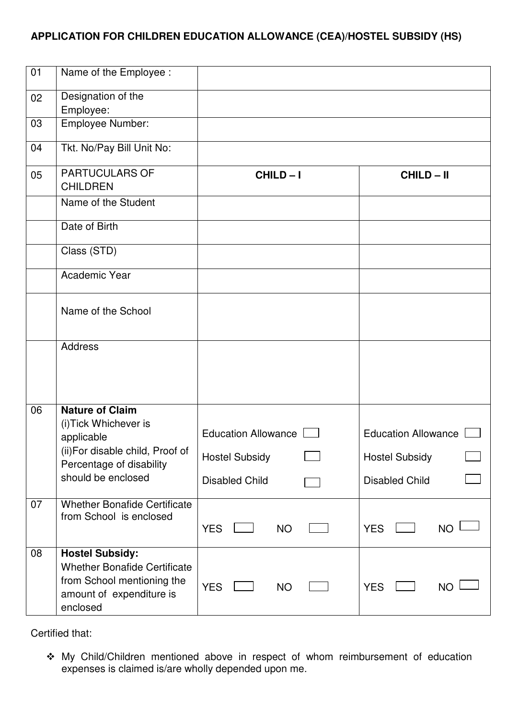## **APPLICATION FOR CHILDREN EDUCATION ALLOWANCE (CEA)/HOSTEL SUBSIDY (HS)**

| 01 | Name of the Employee :                                                                                                                             |                                                                       |                                                                              |
|----|----------------------------------------------------------------------------------------------------------------------------------------------------|-----------------------------------------------------------------------|------------------------------------------------------------------------------|
| 02 | Designation of the<br>Employee:                                                                                                                    |                                                                       |                                                                              |
| 03 | Employee Number:                                                                                                                                   |                                                                       |                                                                              |
| 04 | Tkt. No/Pay Bill Unit No:                                                                                                                          |                                                                       |                                                                              |
| 05 | <b>PARTUCULARS OF</b><br><b>CHILDREN</b>                                                                                                           | CHILD-I                                                               | <b>CHILD-II</b>                                                              |
|    | Name of the Student                                                                                                                                |                                                                       |                                                                              |
|    | Date of Birth                                                                                                                                      |                                                                       |                                                                              |
|    | Class (STD)                                                                                                                                        |                                                                       |                                                                              |
|    | Academic Year                                                                                                                                      |                                                                       |                                                                              |
|    | Name of the School                                                                                                                                 |                                                                       |                                                                              |
|    | <b>Address</b>                                                                                                                                     |                                                                       |                                                                              |
| 06 | <b>Nature of Claim</b><br>(i) Tick Whichever is<br>applicable<br>(ii)For disable child, Proof of<br>Percentage of disability<br>should be enclosed | Education Allowance<br><b>Hostel Subsidy</b><br><b>Disabled Child</b> | <b>Education Allowance</b><br><b>Hostel Subsidy</b><br><b>Disabled Child</b> |
| 07 | <b>Whether Bonafide Certificate</b><br>from School is enclosed                                                                                     | <b>YES</b><br><b>NO</b>                                               | <b>YES</b><br><b>NO</b>                                                      |
| 08 | <b>Hostel Subsidy:</b><br><b>Whether Bonafide Certificate</b><br>from School mentioning the<br>amount of expenditure is<br>enclosed                | <b>YES</b><br><b>NO</b>                                               | <b>YES</b><br><b>NO</b>                                                      |

Certified that:

 My Child/Children mentioned above in respect of whom reimbursement of education expenses is claimed is/are wholly depended upon me.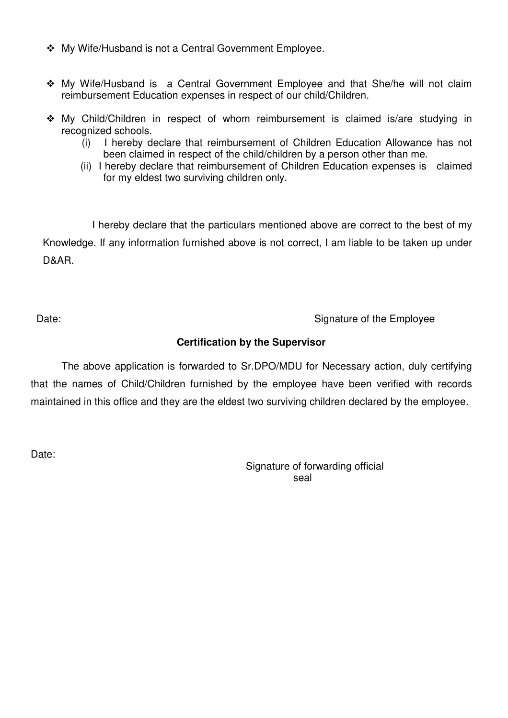- My Wife/Husband is not a Central Government Employee.
- My Wife/Husband is a Central Government Employee and that She/he will not claim reimbursement Education expenses in respect of our child/Children.
- My Child/Children in respect of whom reimbursement is claimed is/are studying in recognized schools.
	- (i) I hereby declare that reimbursement of Children Education Allowance has not been claimed in respect of the child/children by a person other than me.
	- (ii) I hereby declare that reimbursement of Children Education expenses is claimed for my eldest two surviving children only.

 I hereby declare that the particulars mentioned above are correct to the best of my Knowledge. If any information furnished above is not correct, I am liable to be taken up under D&AR.

Date: Case of the Employee Case of the Employee Case of the Employee

## **Certification by the Supervisor**

The above application is forwarded to Sr.DPO/MDU for Necessary action, duly certifying that the names of Child/Children furnished by the employee have been verified with records maintained in this office and they are the eldest two surviving children declared by the employee.

Date:

Signature of forwarding official seal